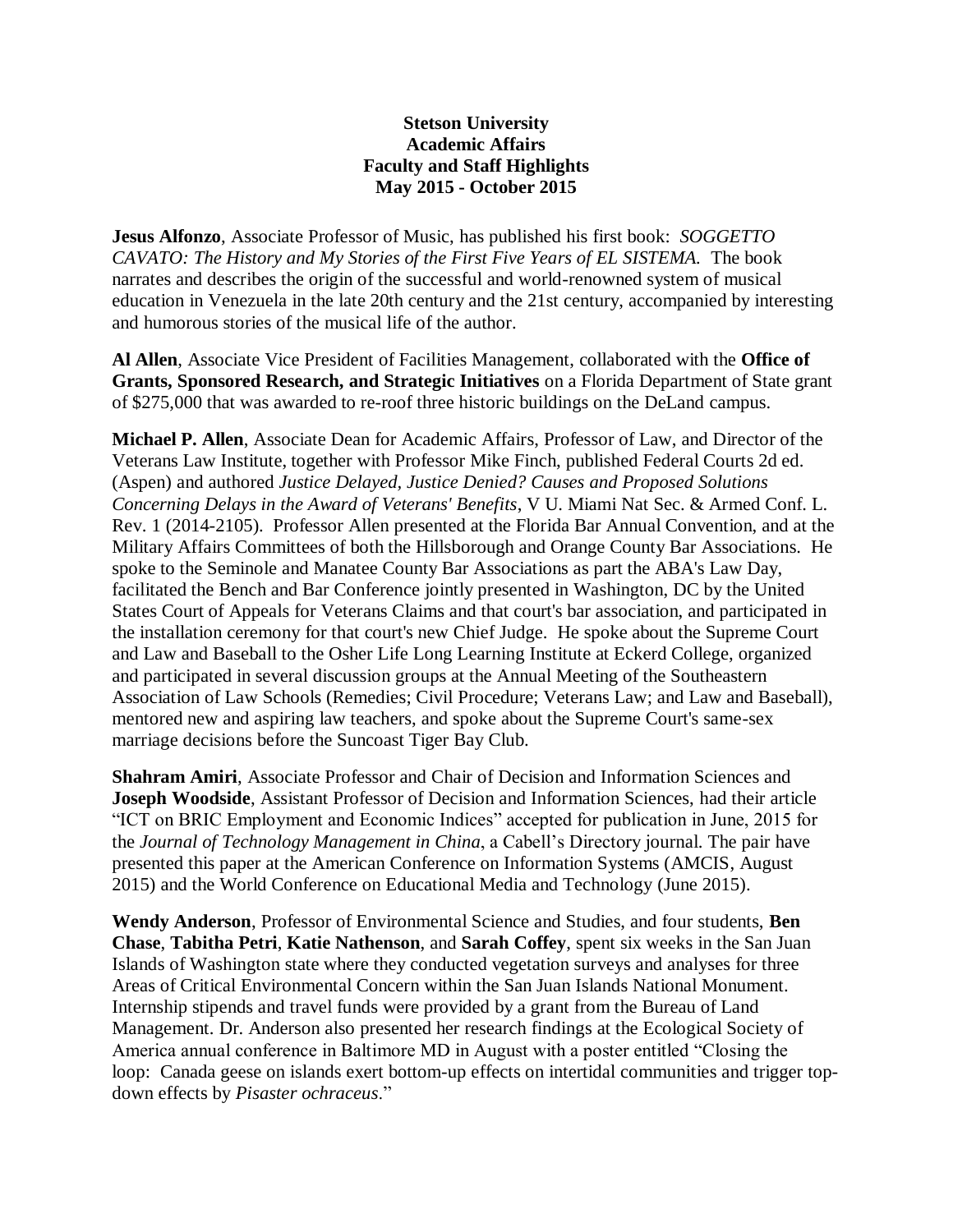## **Stetson University Academic Affairs Faculty and Staff Highlights May 2015 - October 2015**

**Jesus Alfonzo**, Associate Professor of Music, has published his first book: *SOGGETTO CAVATO: The History and My Stories of the First Five Years of EL SISTEMA.* The book narrates and describes the origin of the successful and world-renowned system of musical education in Venezuela in the late 20th century and the 21st century, accompanied by interesting and humorous stories of the musical life of the author.

**Al Allen**, Associate Vice President of Facilities Management, collaborated with the **Office of Grants, Sponsored Research, and Strategic Initiatives** on a Florida Department of State grant of \$275,000 that was awarded to re-roof three historic buildings on the DeLand campus.

**Michael P. Allen**, Associate Dean for Academic Affairs, Professor of Law, and Director of the Veterans Law Institute, together with Professor Mike Finch, published Federal Courts 2d ed. (Aspen) and authored *Justice Delayed, Justice Denied? Causes and Proposed Solutions Concerning Delays in the Award of Veterans' Benefits*, V U. Miami Nat Sec. & Armed Conf. L. Rev. 1 (2014-2105). Professor Allen presented at the Florida Bar Annual Convention, and at the Military Affairs Committees of both the Hillsborough and Orange County Bar Associations. He spoke to the Seminole and Manatee County Bar Associations as part the ABA's Law Day, facilitated the Bench and Bar Conference jointly presented in Washington, DC by the United States Court of Appeals for Veterans Claims and that court's bar association, and participated in the installation ceremony for that court's new Chief Judge. He spoke about the Supreme Court and Law and Baseball to the Osher Life Long Learning Institute at Eckerd College, organized and participated in several discussion groups at the Annual Meeting of the Southeastern Association of Law Schools (Remedies; Civil Procedure; Veterans Law; and Law and Baseball), mentored new and aspiring law teachers, and spoke about the Supreme Court's same-sex marriage decisions before the Suncoast Tiger Bay Club.

**Shahram Amiri**, Associate Professor and Chair of Decision and Information Sciences and **Joseph Woodside**, Assistant Professor of Decision and Information Sciences, had their article "ICT on BRIC Employment and Economic Indices" accepted for publication in June, 2015 for the *Journal of Technology Management in China*, a Cabell's Directory journal. The pair have presented this paper at the American Conference on Information Systems (AMCIS, August 2015) and the World Conference on Educational Media and Technology (June 2015).

**Wendy Anderson**, Professor of Environmental Science and Studies, and four students, **Ben Chase**, **Tabitha Petri**, **Katie Nathenson**, and **Sarah Coffey**, spent six weeks in the San Juan Islands of Washington state where they conducted vegetation surveys and analyses for three Areas of Critical Environmental Concern within the San Juan Islands National Monument. Internship stipends and travel funds were provided by a grant from the Bureau of Land Management. Dr. Anderson also presented her research findings at the Ecological Society of America annual conference in Baltimore MD in August with a poster entitled "Closing the loop: Canada geese on islands exert bottom-up effects on intertidal communities and trigger topdown effects by *Pisaster ochraceus*."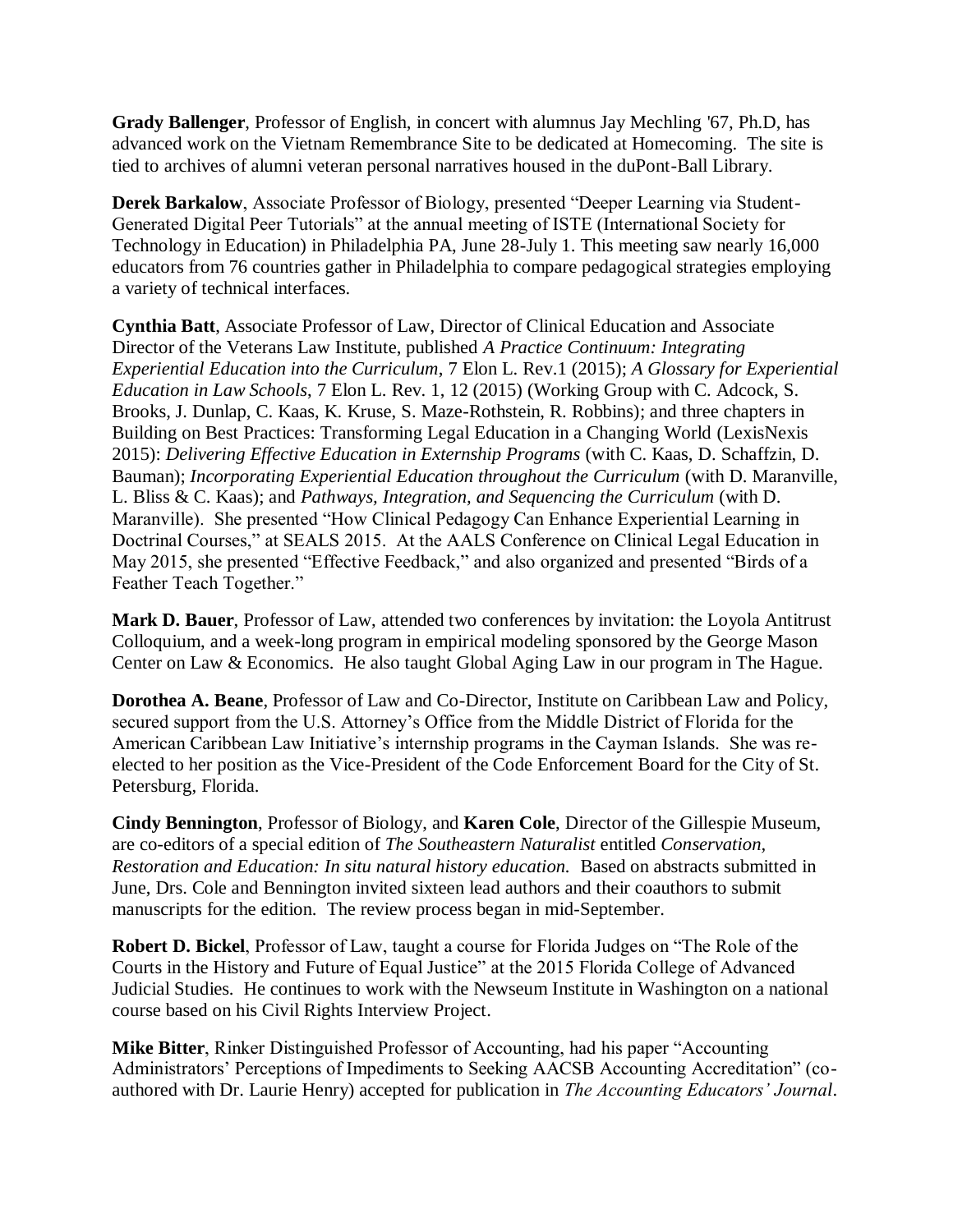**Grady Ballenger**, Professor of English, in concert with alumnus Jay Mechling '67, Ph.D, has advanced work on the Vietnam Remembrance Site to be dedicated at Homecoming. The site is tied to archives of alumni veteran personal narratives housed in the duPont-Ball Library.

**Derek Barkalow**, Associate Professor of Biology, presented "Deeper Learning via Student-Generated Digital Peer Tutorials" at the annual meeting of ISTE (International Society for Technology in Education) in Philadelphia PA, June 28-July 1. This meeting saw nearly 16,000 educators from 76 countries gather in Philadelphia to compare pedagogical strategies employing a variety of technical interfaces.

**Cynthia Batt**, Associate Professor of Law, Director of Clinical Education and Associate Director of the Veterans Law Institute, published *A Practice Continuum: Integrating Experiential Education into the Curriculum*, 7 Elon L. Rev.1 (2015); *A Glossary for Experiential Education in Law Schools*, 7 Elon L. Rev. 1, 12 (2015) (Working Group with C. Adcock, S. Brooks, J. Dunlap, C. Kaas, K. Kruse, S. Maze-Rothstein, R. Robbins); and three chapters in Building on Best Practices: Transforming Legal Education in a Changing World (LexisNexis 2015): *Delivering Effective Education in Externship Programs* (with C. Kaas, D. Schaffzin, D. Bauman); *Incorporating Experiential Education throughout the Curriculum* (with D. Maranville, L. Bliss & C. Kaas); and *Pathways, Integration, and Sequencing the Curriculum* (with D. Maranville). She presented "How Clinical Pedagogy Can Enhance Experiential Learning in Doctrinal Courses," at SEALS 2015. At the AALS Conference on Clinical Legal Education in May 2015, she presented "Effective Feedback," and also organized and presented "Birds of a Feather Teach Together."

**Mark D. Bauer**, Professor of Law, attended two conferences by invitation: the Loyola Antitrust Colloquium, and a week-long program in empirical modeling sponsored by the George Mason Center on Law & Economics. He also taught Global Aging Law in our program in The Hague.

**Dorothea A. Beane**, Professor of Law and Co-Director, Institute on Caribbean Law and Policy, secured support from the U.S. Attorney's Office from the Middle District of Florida for the American Caribbean Law Initiative's internship programs in the Cayman Islands. She was reelected to her position as the Vice-President of the Code Enforcement Board for the City of St. Petersburg, Florida.

**Cindy Bennington**, Professor of Biology, and **Karen Cole**, Director of the Gillespie Museum, are co-editors of a special edition of *The Southeastern Naturalist* entitled *Conservation, Restoration and Education: In situ natural history education.* Based on abstracts submitted in June, Drs. Cole and Bennington invited sixteen lead authors and their coauthors to submit manuscripts for the edition. The review process began in mid-September.

**Robert D. Bickel**, Professor of Law, taught a course for Florida Judges on "The Role of the Courts in the History and Future of Equal Justice" at the 2015 Florida College of Advanced Judicial Studies. He continues to work with the Newseum Institute in Washington on a national course based on his Civil Rights Interview Project.

**Mike Bitter**, Rinker Distinguished Professor of Accounting, had his paper "Accounting Administrators' Perceptions of Impediments to Seeking AACSB Accounting Accreditation" (coauthored with Dr. Laurie Henry) accepted for publication in *The Accounting Educators' Journal*.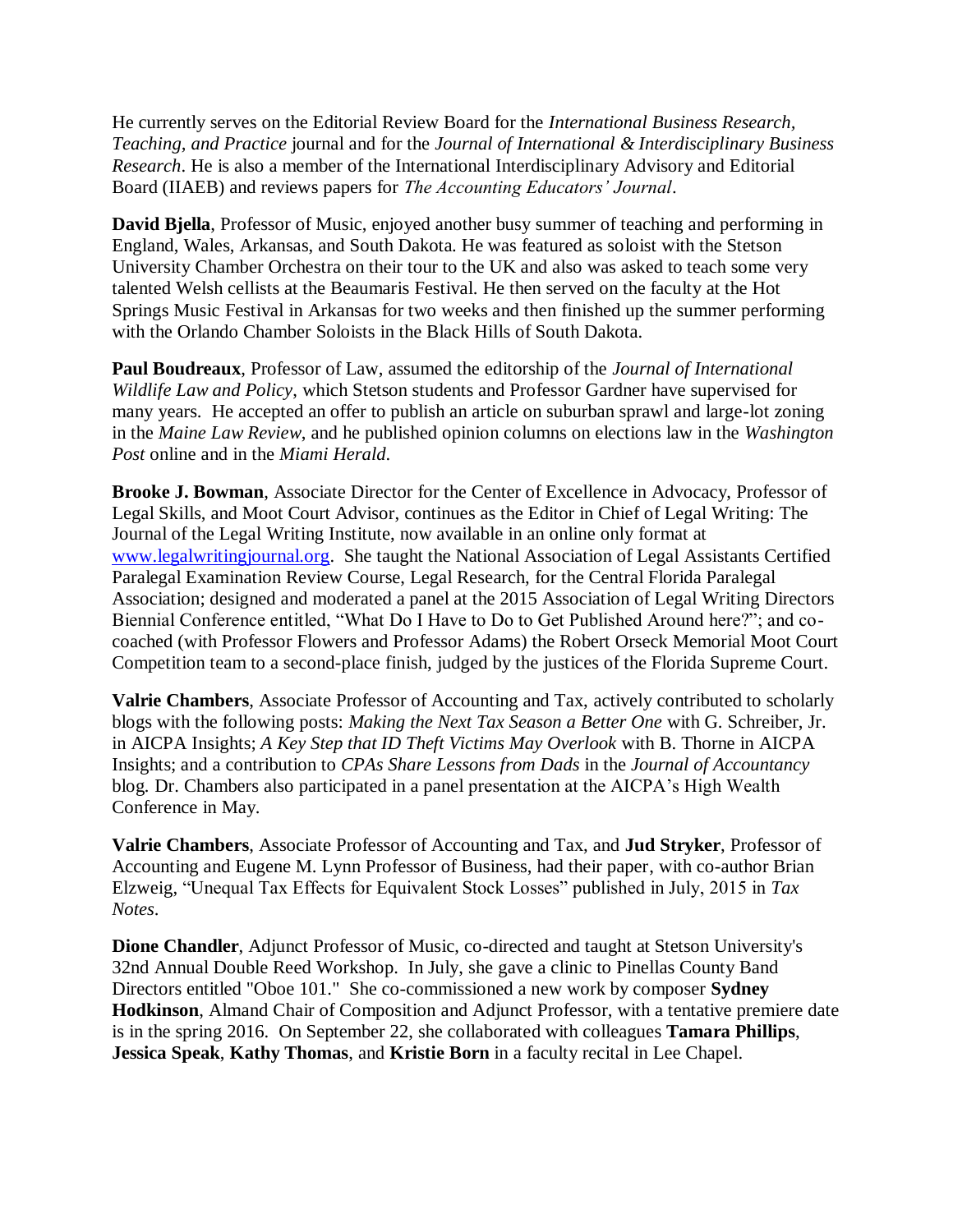He currently serves on the Editorial Review Board for the *International Business Research, Teaching, and Practice* journal and for the *Journal of International & Interdisciplinary Business Research*. He is also a member of the International Interdisciplinary Advisory and Editorial Board (IIAEB) and reviews papers for *The Accounting Educators' Journal*.

**David Bjella**, Professor of Music, enjoyed another busy summer of teaching and performing in England, Wales, Arkansas, and South Dakota. He was featured as soloist with the Stetson University Chamber Orchestra on their tour to the UK and also was asked to teach some very talented Welsh cellists at the Beaumaris Festival. He then served on the faculty at the Hot Springs Music Festival in Arkansas for two weeks and then finished up the summer performing with the Orlando Chamber Soloists in the Black Hills of South Dakota.

**Paul Boudreaux**, Professor of Law, assumed the editorship of the *Journal of International Wildlife Law and Policy*, which Stetson students and Professor Gardner have supervised for many years. He accepted an offer to publish an article on suburban sprawl and large-lot zoning in the *Maine Law Review*, and he published opinion columns on elections law in the *Washington Post* online and in the *Miami Herald*.

**Brooke J. Bowman**, Associate Director for the Center of Excellence in Advocacy, Professor of Legal Skills, and Moot Court Advisor, continues as the Editor in Chief of Legal Writing: The Journal of the Legal Writing Institute, now available in an online only format at [www.legalwritingjournal.org.](http://www.legalwritingjournal.org/) She taught the National Association of Legal Assistants Certified Paralegal Examination Review Course, Legal Research, for the Central Florida Paralegal Association; designed and moderated a panel at the 2015 Association of Legal Writing Directors Biennial Conference entitled, "What Do I Have to Do to Get Published Around here?"; and cocoached (with Professor Flowers and Professor Adams) the Robert Orseck Memorial Moot Court Competition team to a second-place finish, judged by the justices of the Florida Supreme Court.

**Valrie Chambers**, Associate Professor of Accounting and Tax, actively contributed to scholarly blogs with the following posts: *Making the Next Tax Season a Better One* with G. Schreiber, Jr. in AICPA Insights; *A Key Step that ID Theft Victims May Overlook* with B. Thorne in AICPA Insights; and a contribution to *CPAs Share Lessons from Dads* in the *Journal of Accountancy* blog*.* Dr. Chambers also participated in a panel presentation at the AICPA's High Wealth Conference in May.

**Valrie Chambers**, Associate Professor of Accounting and Tax, and **Jud Stryker**, Professor of Accounting and Eugene M. Lynn Professor of Business, had their paper, with co-author Brian Elzweig, "Unequal Tax Effects for Equivalent Stock Losses" published in July, 2015 in *Tax Notes*.

**Dione Chandler**, Adjunct Professor of Music, co-directed and taught at Stetson University's 32nd Annual Double Reed Workshop. In July, she gave a clinic to Pinellas County Band Directors entitled "Oboe 101." She co-commissioned a new work by composer **Sydney Hodkinson**, Almand Chair of Composition and Adjunct Professor, with a tentative premiere date is in the spring 2016. On September 22, she collaborated with colleagues **Tamara Phillips**, **Jessica Speak**, **Kathy Thomas**, and **Kristie Born** in a faculty recital in Lee Chapel.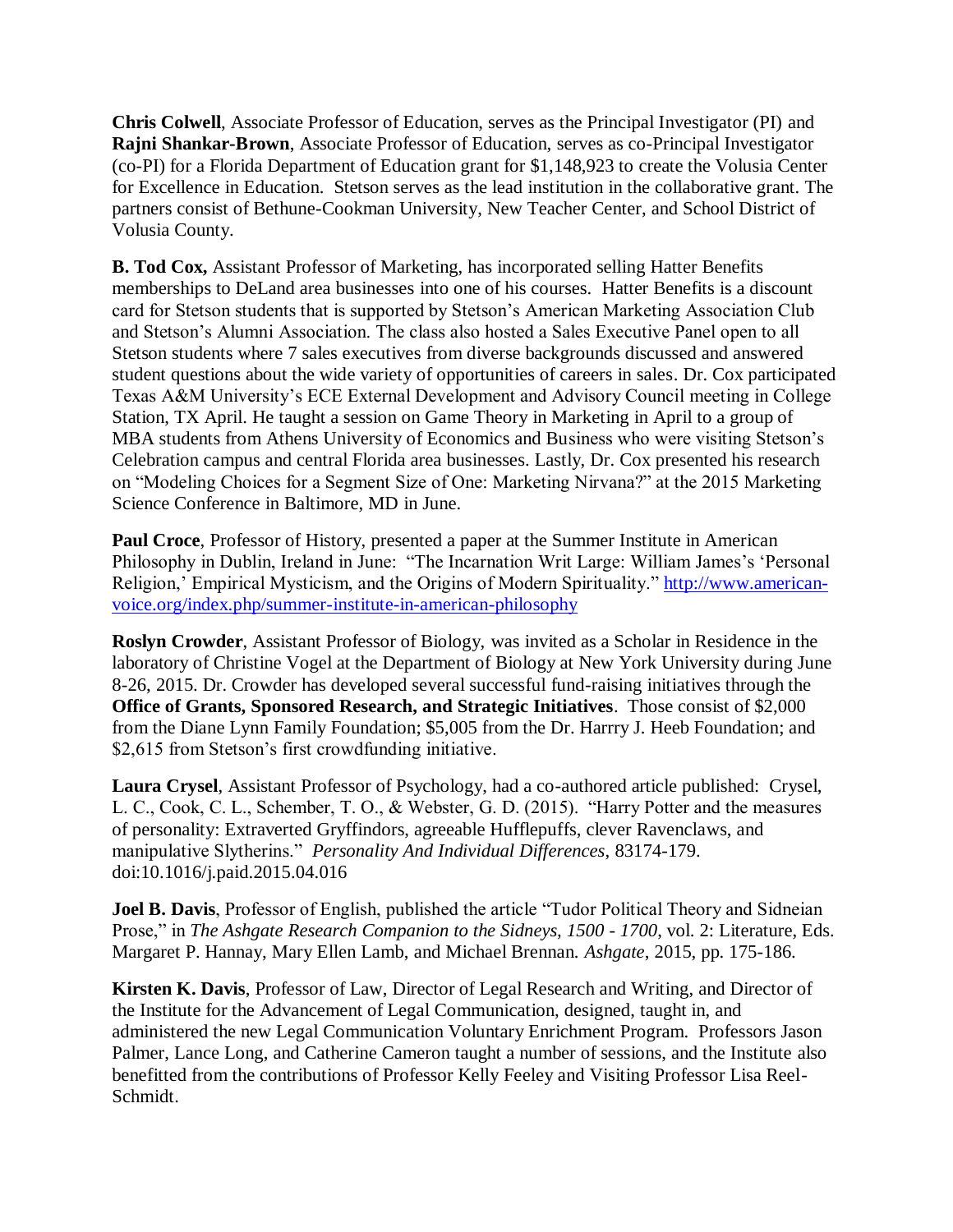**Chris Colwell**, Associate Professor of Education, serves as the Principal Investigator (PI) and **Rajni Shankar-Brown**, Associate Professor of Education, serves as co-Principal Investigator (co-PI) for a Florida Department of Education grant for \$1,148,923 to create the Volusia Center for Excellence in Education. Stetson serves as the lead institution in the collaborative grant. The partners consist of Bethune-Cookman University, New Teacher Center, and School District of Volusia County.

**B. Tod Cox,** Assistant Professor of Marketing, has incorporated selling Hatter Benefits memberships to DeLand area businesses into one of his courses. Hatter Benefits is a discount card for Stetson students that is supported by Stetson's American Marketing Association Club and Stetson's Alumni Association. The class also hosted a Sales Executive Panel open to all Stetson students where 7 sales executives from diverse backgrounds discussed and answered student questions about the wide variety of opportunities of careers in sales. Dr. Cox participated Texas A&M University's ECE External Development and Advisory Council meeting in College Station, TX April. He taught a session on Game Theory in Marketing in April to a group of MBA students from Athens University of Economics and Business who were visiting Stetson's Celebration campus and central Florida area businesses. Lastly, Dr. Cox presented his research on "Modeling Choices for a Segment Size of One: Marketing Nirvana?" at the 2015 Marketing Science Conference in Baltimore, MD in June.

**Paul Croce**, Professor of History, presented a paper at the Summer Institute in American Philosophy in Dublin, Ireland in June: "The Incarnation Writ Large: William James's 'Personal Religion,' Empirical Mysticism, and the Origins of Modern Spirituality." [http://www.american](https://email.ad.stetson.edu/owa/redir.aspx?C=6FSuQBFkWESws_CH9s6eAu0BuA66vtIIpfcAmcbeMQPo24SGze2YMDNWLKGEoRpgYI6JsUU9nrE.&URL=https%3a%2f%2femail.ad.stetson.edu%2fowa%2fredir.aspx%3fC%3dCALD_kRtukSfdzvN2dRLPotqd2kx_NEIqSBIppTGVoGBOi0IesACKmJ_oZcDeR1uUPcOGhsk4KE.%26URL%3dhttp%253a%252f%252fwww.american-voice.org%252findex.php%252fsummer-institute-in-american-philosophy)[voice.org/index.php/summer-institute-in-american-philosophy](https://email.ad.stetson.edu/owa/redir.aspx?C=6FSuQBFkWESws_CH9s6eAu0BuA66vtIIpfcAmcbeMQPo24SGze2YMDNWLKGEoRpgYI6JsUU9nrE.&URL=https%3a%2f%2femail.ad.stetson.edu%2fowa%2fredir.aspx%3fC%3dCALD_kRtukSfdzvN2dRLPotqd2kx_NEIqSBIppTGVoGBOi0IesACKmJ_oZcDeR1uUPcOGhsk4KE.%26URL%3dhttp%253a%252f%252fwww.american-voice.org%252findex.php%252fsummer-institute-in-american-philosophy)

**Roslyn Crowder**, Assistant Professor of Biology, was invited as a Scholar in Residence in the laboratory of Christine Vogel at the Department of Biology at New York University during June 8-26, 2015. Dr. Crowder has developed several successful fund-raising initiatives through the **Office of Grants, Sponsored Research, and Strategic Initiatives**. Those consist of \$2,000 from the Diane Lynn Family Foundation; \$5,005 from the Dr. Harrry J. Heeb Foundation; and \$2,615 from Stetson's first crowdfunding initiative.

**Laura Crysel**, Assistant Professor of Psychology, had a co-authored article published: Crysel, L. C., Cook, C. L., Schember, T. O., & Webster, G. D. (2015). "Harry Potter and the measures of personality: Extraverted Gryffindors, agreeable Hufflepuffs, clever Ravenclaws, and manipulative Slytherins." *Personality And Individual Differences*, 83174-179. doi:10.1016/j.paid.2015.04.016

**Joel B. Davis**, Professor of English, published the article "Tudor Political Theory and Sidneian Prose," in *The Ashgate Research Companion to the Sidneys, 1500 - 1700*, vol. 2: Literature, Eds. Margaret P. Hannay, Mary Ellen Lamb, and Michael Brennan. *Ashgate*, 2015, pp. 175-186.

**Kirsten K. Davis**, Professor of Law, Director of Legal Research and Writing, and Director of the Institute for the Advancement of Legal Communication, designed, taught in, and administered the new Legal Communication Voluntary Enrichment Program. Professors Jason Palmer, Lance Long, and Catherine Cameron taught a number of sessions, and the Institute also benefitted from the contributions of Professor Kelly Feeley and Visiting Professor Lisa Reel-Schmidt.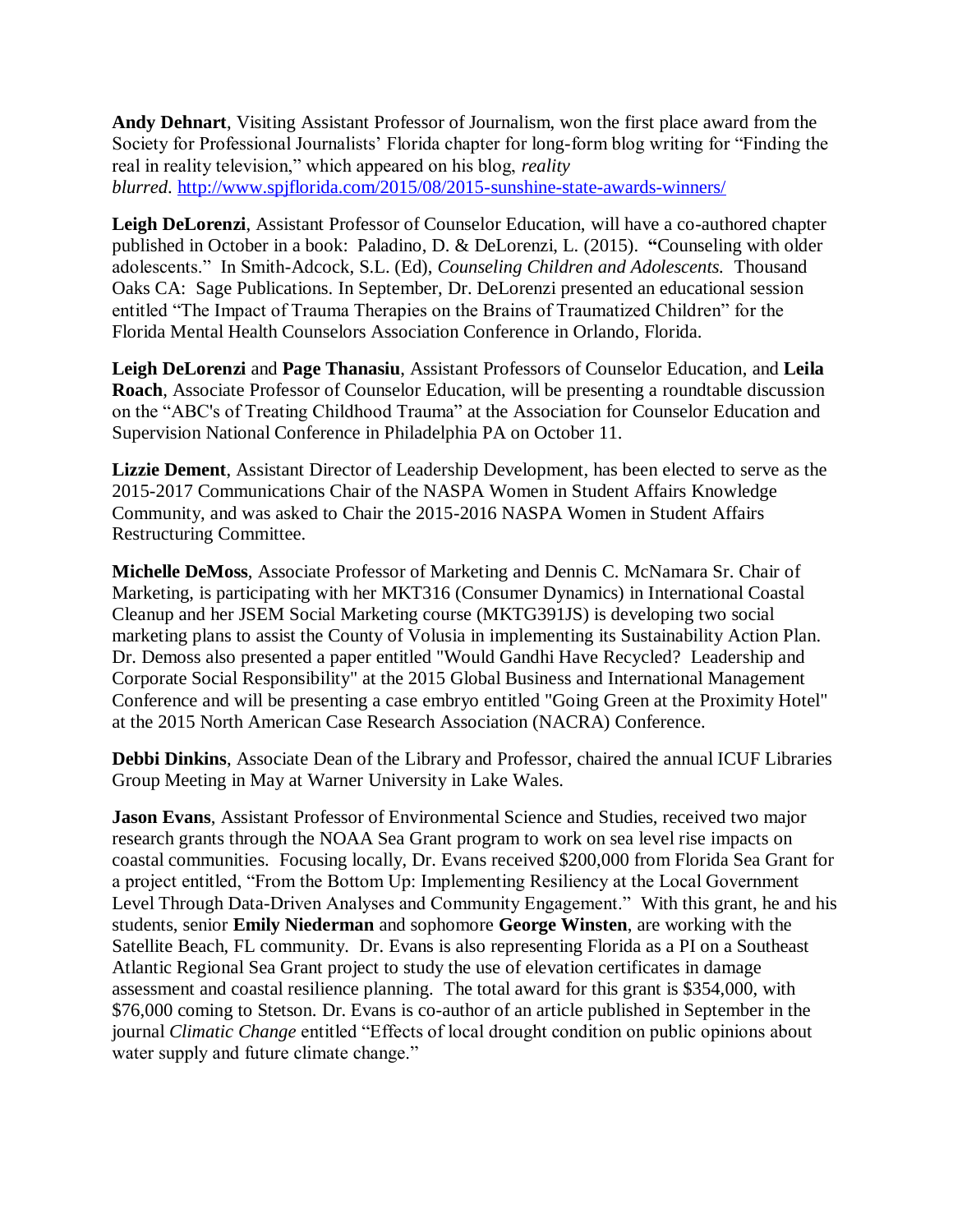**Andy Dehnart**, Visiting Assistant Professor of Journalism, won the first place award from the Society for Professional Journalists' Florida chapter for long-form blog writing for "Finding the real in reality television," which appeared on his blog, *reality blurred*. <http://www.spjflorida.com/2015/08/2015-sunshine-state-awards-winners/>

**Leigh DeLorenzi**, Assistant Professor of Counselor Education, will have a co-authored chapter published in October in a book: Paladino, D. & DeLorenzi, L. (2015). **"**Counseling with older adolescents." In Smith-Adcock, S.L. (Ed), *Counseling Children and Adolescents.* Thousand Oaks CA: Sage Publications. In September, Dr. DeLorenzi presented an educational session entitled "The Impact of Trauma Therapies on the Brains of Traumatized Children" for the Florida Mental Health Counselors Association Conference in Orlando, Florida.

**Leigh DeLorenzi** and **Page Thanasiu**, Assistant Professors of Counselor Education, and **Leila Roach**, Associate Professor of Counselor Education, will be presenting a roundtable discussion on the "ABC's of Treating Childhood Trauma" at the Association for Counselor Education and Supervision National Conference in Philadelphia PA on October 11.

**Lizzie Dement**, Assistant Director of Leadership Development, has been elected to serve as the 2015-2017 Communications Chair of the NASPA Women in Student Affairs Knowledge Community, and was asked to Chair the 2015-2016 NASPA Women in Student Affairs Restructuring Committee.

**Michelle DeMoss**, Associate Professor of Marketing and Dennis C. McNamara Sr. Chair of Marketing, is participating with her MKT316 (Consumer Dynamics) in International Coastal Cleanup and her JSEM Social Marketing course (MKTG391JS) is developing two social marketing plans to assist the County of Volusia in implementing its Sustainability Action Plan. Dr. Demoss also presented a paper entitled "Would Gandhi Have Recycled? Leadership and Corporate Social Responsibility" at the 2015 Global Business and International Management Conference and will be presenting a case embryo entitled "Going Green at the Proximity Hotel" at the 2015 North American Case Research Association (NACRA) Conference.

**Debbi Dinkins**, Associate Dean of the Library and Professor, chaired the annual ICUF Libraries Group Meeting in May at Warner University in Lake Wales.

**Jason Evans**, Assistant Professor of Environmental Science and Studies, received two major research grants through the NOAA Sea Grant program to work on sea level rise impacts on coastal communities. Focusing locally, Dr. Evans received \$200,000 from Florida Sea Grant for a project entitled, "From the Bottom Up: Implementing Resiliency at the Local Government Level Through Data-Driven Analyses and Community Engagement." With this grant, he and his students, senior **Emily Niederman** and sophomore **George Winsten**, are working with the Satellite Beach, FL community. Dr. Evans is also representing Florida as a PI on a Southeast Atlantic Regional Sea Grant project to study the use of elevation certificates in damage assessment and coastal resilience planning. The total award for this grant is \$354,000, with \$76,000 coming to Stetson. Dr. Evans is co-author of an article published in September in the journal *Climatic Change* entitled "Effects of local drought condition on public opinions about water supply and future climate change."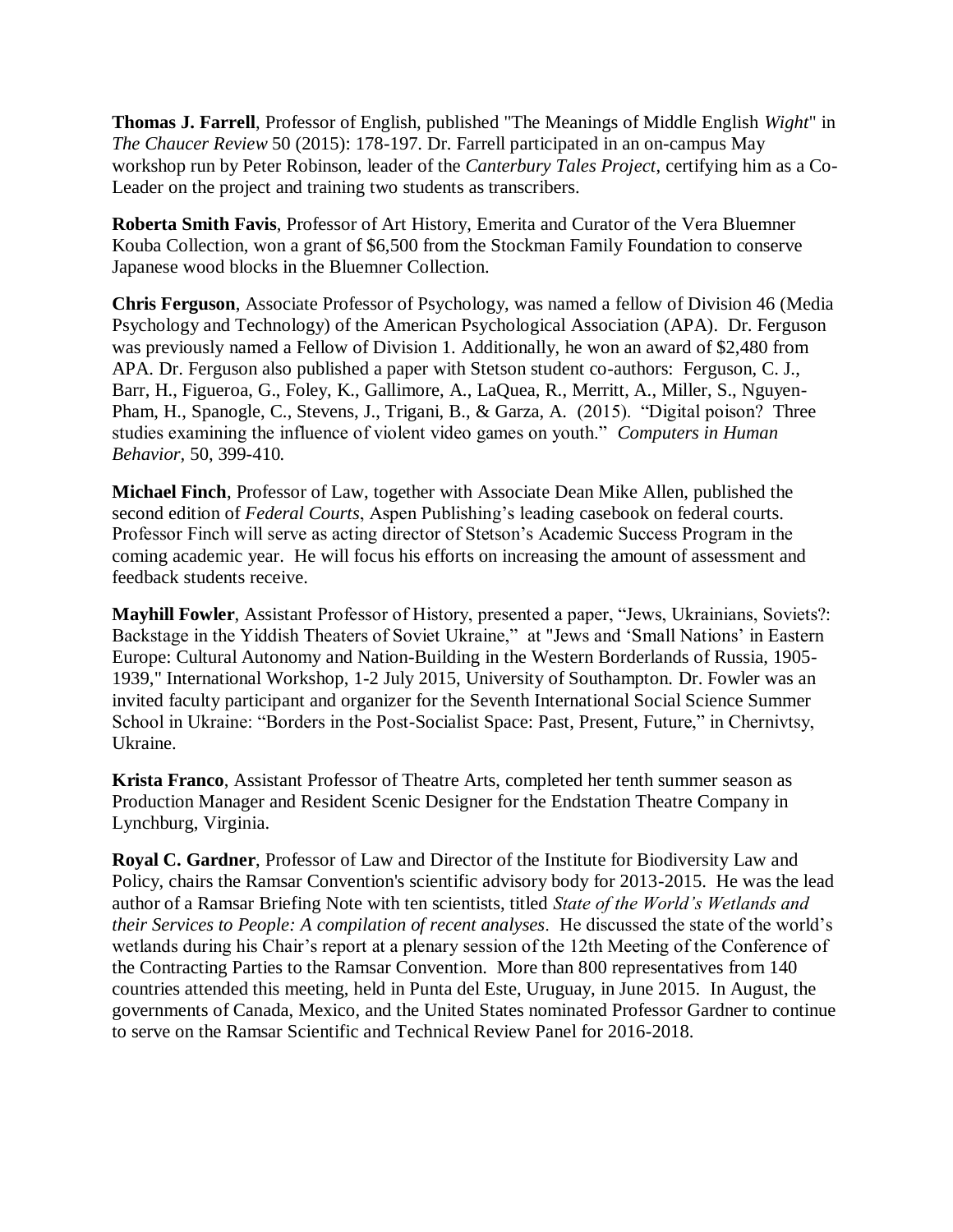**Thomas J. Farrell**, Professor of English, published "The Meanings of Middle English *Wight*" in *The Chaucer Review* 50 (2015): 178-197. Dr. Farrell participated in an on-campus May workshop run by Peter Robinson, leader of the *Canterbury Tales Project*, certifying him as a Co-Leader on the project and training two students as transcribers.

**Roberta Smith Favis**, Professor of Art History, Emerita and Curator of the Vera Bluemner Kouba Collection, won a grant of \$6,500 from the Stockman Family Foundation to conserve Japanese wood blocks in the Bluemner Collection.

**Chris Ferguson**, Associate Professor of Psychology, was named a fellow of Division 46 (Media Psychology and Technology) of the American Psychological Association (APA). Dr. Ferguson was previously named a Fellow of Division 1. Additionally, he won an award of \$2,480 from APA. Dr. Ferguson also published a paper with Stetson student co-authors: Ferguson, C. J., Barr, H., Figueroa, G., Foley, K., Gallimore, A., LaQuea, R., Merritt, A., Miller, S., Nguyen-Pham, H., Spanogle, C., Stevens, J., Trigani, B., & Garza, A. (2015). "Digital poison? Three studies examining the influence of violent video games on youth." *Computers in Human Behavior,* 50, 399-410*.*

**Michael Finch**, Professor of Law, together with Associate Dean Mike Allen, published the second edition of *Federal Courts*, Aspen Publishing's leading casebook on federal courts. Professor Finch will serve as acting director of Stetson's Academic Success Program in the coming academic year. He will focus his efforts on increasing the amount of assessment and feedback students receive.

**Mayhill Fowler**, Assistant Professor of History, presented a paper, "Jews, Ukrainians, Soviets?: Backstage in the Yiddish Theaters of Soviet Ukraine," at "Jews and 'Small Nations' in Eastern Europe: Cultural Autonomy and Nation-Building in the Western Borderlands of Russia, 1905- 1939," International Workshop, 1-2 July 2015, University of Southampton. Dr. Fowler was an invited faculty participant and organizer for the Seventh International Social Science Summer School in Ukraine: "Borders in the Post-Socialist Space: Past, Present, Future," in Chernivtsy, Ukraine.

**Krista Franco**, Assistant Professor of Theatre Arts, completed her tenth summer season as Production Manager and Resident Scenic Designer for the Endstation Theatre Company in Lynchburg, Virginia.

**Royal C. Gardner**, Professor of Law and Director of the Institute for Biodiversity Law and Policy, chairs the Ramsar Convention's scientific advisory body for 2013-2015. He was the lead author of a Ramsar Briefing Note with ten scientists, titled *State of the World's Wetlands and their Services to People: A compilation of recent analyses*. He discussed the state of the world's wetlands during his Chair's report at a plenary session of the 12th Meeting of the Conference of the Contracting Parties to the Ramsar Convention. More than 800 representatives from 140 countries attended this meeting, held in Punta del Este, Uruguay, in June 2015. In August, the governments of Canada, Mexico, and the United States nominated Professor Gardner to continue to serve on the Ramsar Scientific and Technical Review Panel for 2016-2018.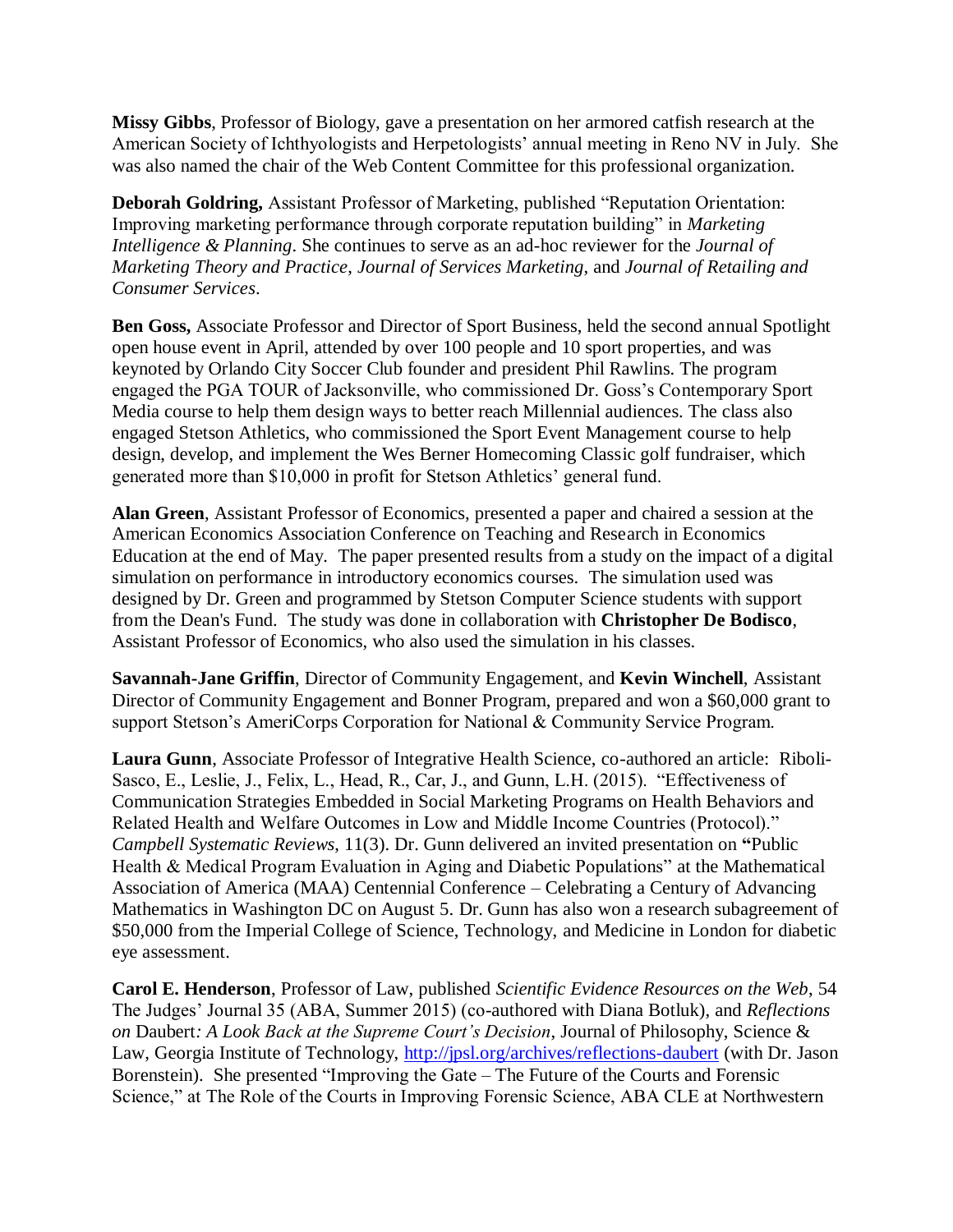**Missy Gibbs**, Professor of Biology, gave a presentation on her armored catfish research at the American Society of Ichthyologists and Herpetologists' annual meeting in Reno NV in July. She was also named the chair of the Web Content Committee for this professional organization.

**Deborah Goldring,** Assistant Professor of Marketing, published "Reputation Orientation: Improving marketing performance through corporate reputation building" in *Marketing Intelligence & Planning*. She continues to serve as an ad-hoc reviewer for the *Journal of Marketing Theory and Practice*, *Journal of Services Marketing*, and *Journal of Retailing and Consumer Services*.

**Ben Goss,** Associate Professor and Director of Sport Business, held the second annual Spotlight open house event in April, attended by over 100 people and 10 sport properties, and was keynoted by Orlando City Soccer Club founder and president Phil Rawlins. The program engaged the PGA TOUR of Jacksonville, who commissioned Dr. Goss's Contemporary Sport Media course to help them design ways to better reach Millennial audiences. The class also engaged Stetson Athletics, who commissioned the Sport Event Management course to help design, develop, and implement the Wes Berner Homecoming Classic golf fundraiser, which generated more than \$10,000 in profit for Stetson Athletics' general fund.

**Alan Green**, Assistant Professor of Economics, presented a paper and chaired a session at the American Economics Association Conference on Teaching and Research in Economics Education at the end of May. The paper presented results from a study on the impact of a digital simulation on performance in introductory economics courses. The simulation used was designed by Dr. Green and programmed by Stetson Computer Science students with support from the Dean's Fund. The study was done in collaboration with **Christopher De Bodisco**, Assistant Professor of Economics, who also used the simulation in his classes.

**Savannah-Jane Griffin**, Director of Community Engagement, and **Kevin Winchell**, Assistant Director of Community Engagement and Bonner Program, prepared and won a \$60,000 grant to support Stetson's AmeriCorps Corporation for National & Community Service Program.

**Laura Gunn**, Associate Professor of Integrative Health Science, co-authored an article: Riboli-Sasco, E., Leslie, J., Felix, L., Head, R., Car, J., and Gunn, L.H. (2015). "Effectiveness of Communication Strategies Embedded in Social Marketing Programs on Health Behaviors and Related Health and Welfare Outcomes in Low and Middle Income Countries (Protocol)." *Campbell Systematic Reviews*, 11(3). Dr. Gunn delivered an invited presentation on **"**Public Health & Medical Program Evaluation in Aging and Diabetic Populations" at the Mathematical Association of America (MAA) Centennial Conference – Celebrating a Century of Advancing Mathematics in Washington DC on August 5. Dr. Gunn has also won a research subagreement of \$50,000 from the Imperial College of Science, Technology, and Medicine in London for diabetic eye assessment.

**Carol E. Henderson**, Professor of Law, published *Scientific Evidence Resources on the Web*, 54 The Judges' Journal 35 (ABA, Summer 2015) (co-authored with Diana Botluk), and *Reflections on* Daubert*: A Look Back at the Supreme Court's Decision*, Journal of Philosophy, Science & Law, Georgia Institute of Technology,<http://jpsl.org/archives/reflections-daubert> (with Dr. Jason Borenstein). She presented "Improving the Gate – The Future of the Courts and Forensic Science," at The Role of the Courts in Improving Forensic Science, ABA CLE at Northwestern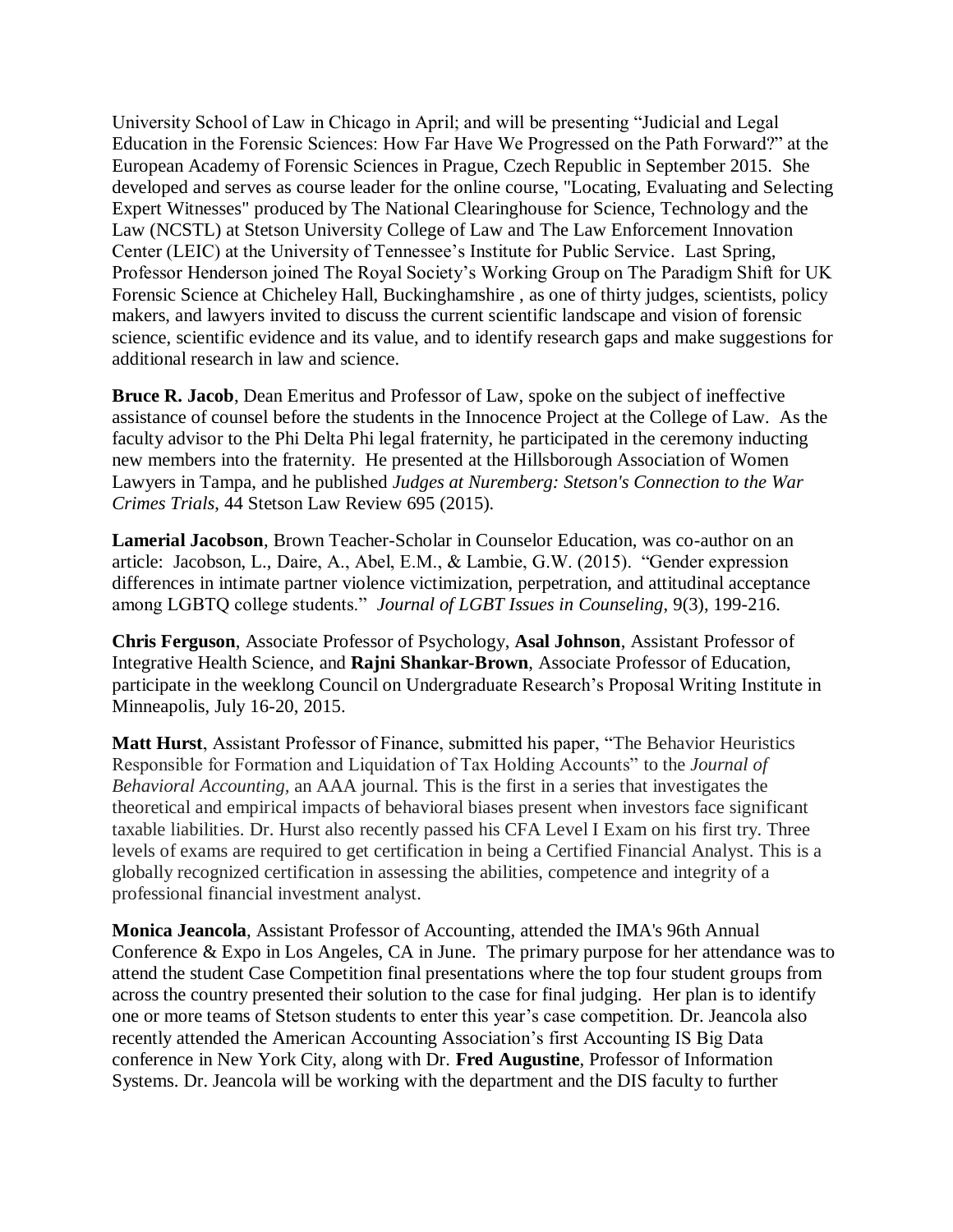University School of Law in Chicago in April; and will be presenting "Judicial and Legal Education in the Forensic Sciences: How Far Have We Progressed on the Path Forward?" at the European Academy of Forensic Sciences in Prague, Czech Republic in September 2015. She developed and serves as course leader for the online course, "Locating, Evaluating and Selecting Expert Witnesses" produced by The National Clearinghouse for Science, Technology and the Law (NCSTL) at Stetson University College of Law and The Law Enforcement Innovation Center (LEIC) at the University of Tennessee's Institute for Public Service. Last Spring, Professor Henderson joined The Royal Society's Working Group on The Paradigm Shift for UK Forensic Science at Chicheley Hall, Buckinghamshire , as one of thirty judges, scientists, policy makers, and lawyers invited to discuss the current scientific landscape and vision of forensic science, scientific evidence and its value, and to identify research gaps and make suggestions for additional research in law and science.

**Bruce R. Jacob**, Dean Emeritus and Professor of Law, spoke on the subject of ineffective assistance of counsel before the students in the Innocence Project at the College of Law. As the faculty advisor to the Phi Delta Phi legal fraternity, he participated in the ceremony inducting new members into the fraternity. He presented at the Hillsborough Association of Women Lawyers in Tampa, and he published *Judges at Nuremberg: Stetson's Connection to the War Crimes Trials*, 44 Stetson Law Review 695 (2015).

**Lamerial Jacobson**, Brown Teacher-Scholar in Counselor Education, was co-author on an article: Jacobson, L., Daire, A., Abel, E.M., & Lambie, G.W. (2015). "Gender expression differences in intimate partner violence victimization, perpetration, and attitudinal acceptance among LGBTQ college students." *Journal of LGBT Issues in Counseling*, 9(3), 199-216.

**Chris Ferguson**, Associate Professor of Psychology, **Asal Johnson**, Assistant Professor of Integrative Health Science, and **Rajni Shankar-Brown**, Associate Professor of Education, participate in the weeklong Council on Undergraduate Research's Proposal Writing Institute in Minneapolis, July 16-20, 2015.

**Matt Hurst**, Assistant Professor of Finance, submitted his paper, "The Behavior Heuristics Responsible for Formation and Liquidation of Tax Holding Accounts" to the *Journal of Behavioral Accounting,* an AAA journal. This is the first in a series that investigates the theoretical and empirical impacts of behavioral biases present when investors face significant taxable liabilities. Dr. Hurst also recently passed his CFA Level I Exam on his first try. Three levels of exams are required to get certification in being a Certified Financial Analyst. This is a globally recognized certification in assessing the abilities, competence and integrity of a professional financial investment analyst.

**Monica Jeancola**, Assistant Professor of Accounting, attended the IMA's 96th Annual Conference & Expo in Los Angeles, CA in June. The primary purpose for her attendance was to attend the student Case Competition final presentations where the top four student groups from across the country presented their solution to the case for final judging. Her plan is to identify one or more teams of Stetson students to enter this year's case competition. Dr. Jeancola also recently attended the American Accounting Association's first Accounting IS Big Data conference in New York City, along with Dr. **Fred Augustine**, Professor of Information Systems. Dr. Jeancola will be working with the department and the DIS faculty to further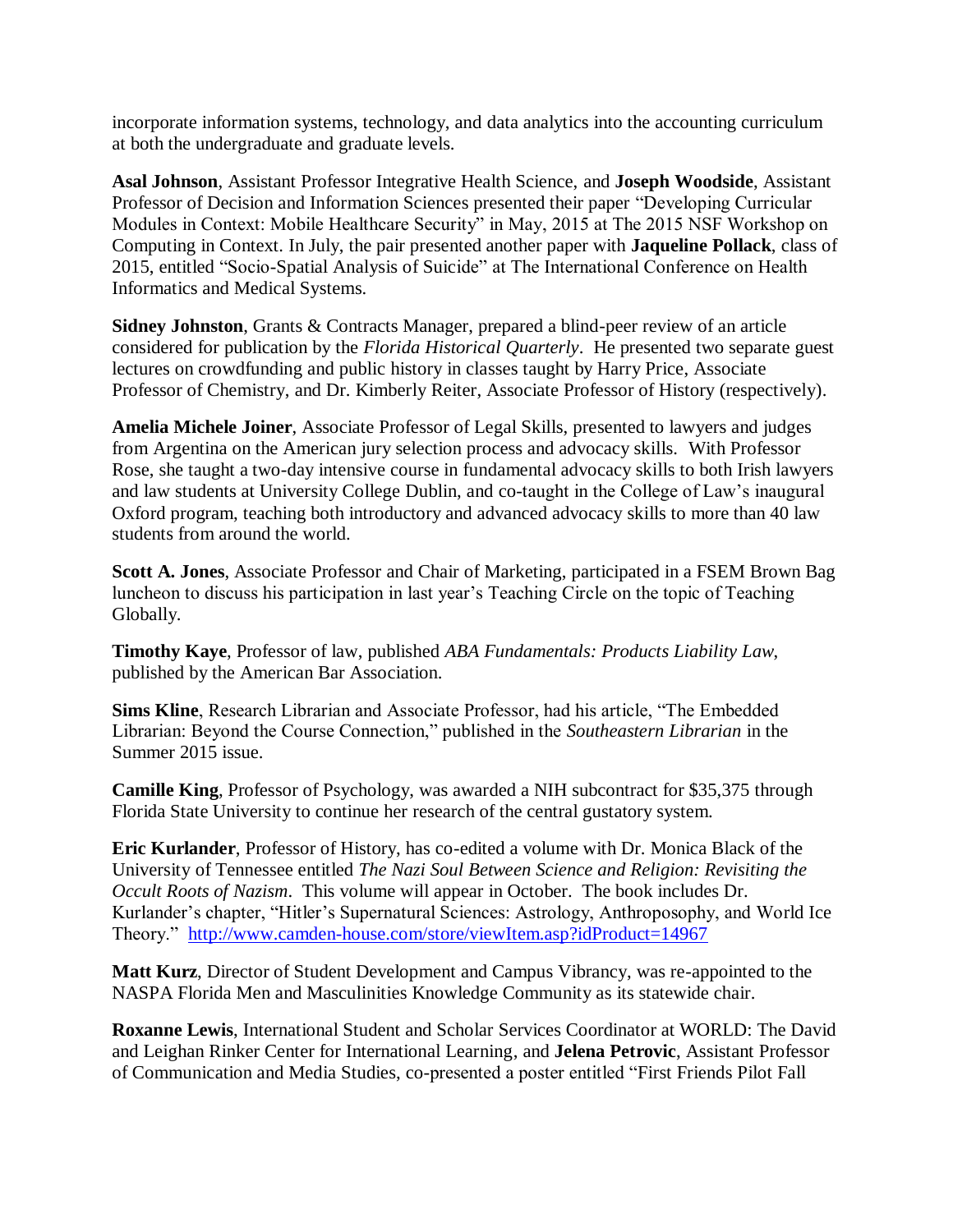incorporate information systems, technology, and data analytics into the accounting curriculum at both the undergraduate and graduate levels.

**Asal Johnson**, Assistant Professor Integrative Health Science, and **Joseph Woodside**, Assistant Professor of Decision and Information Sciences presented their paper "Developing Curricular Modules in Context: Mobile Healthcare Security" in May, 2015 at The 2015 NSF Workshop on Computing in Context. In July, the pair presented another paper with **Jaqueline Pollack**, class of 2015, entitled "Socio-Spatial Analysis of Suicide" at The International Conference on Health Informatics and Medical Systems.

**Sidney Johnston**, Grants & Contracts Manager, prepared a blind-peer review of an article considered for publication by the *Florida Historical Quarterly*. He presented two separate guest lectures on crowdfunding and public history in classes taught by Harry Price, Associate Professor of Chemistry, and Dr. Kimberly Reiter, Associate Professor of History (respectively).

**Amelia Michele Joiner**, Associate Professor of Legal Skills, presented to lawyers and judges from Argentina on the American jury selection process and advocacy skills. With Professor Rose, she taught a two-day intensive course in fundamental advocacy skills to both Irish lawyers and law students at University College Dublin, and co-taught in the College of Law's inaugural Oxford program, teaching both introductory and advanced advocacy skills to more than 40 law students from around the world.

**Scott A. Jones**, Associate Professor and Chair of Marketing, participated in a FSEM Brown Bag luncheon to discuss his participation in last year's Teaching Circle on the topic of Teaching Globally.

**Timothy Kaye**, Professor of law, published *ABA Fundamentals: Products Liability Law*, published by the American Bar Association.

**Sims Kline**, Research Librarian and Associate Professor, had his article, "The Embedded Librarian: Beyond the Course Connection," published in the *Southeastern Librarian* in the Summer 2015 issue.

**Camille King**, Professor of Psychology, was awarded a NIH subcontract for \$35,375 through Florida State University to continue her research of the central gustatory system.

**Eric Kurlander**, Professor of History, has co-edited a volume with Dr. Monica Black of the University of Tennessee entitled *The Nazi Soul Between Science and Religion: Revisiting the Occult Roots of Nazism*. This volume will appear in October. The book includes Dr. Kurlander's chapter, "Hitler's Supernatural Sciences: Astrology, Anthroposophy, and World Ice Theory." [http://www.camden-house.com/store/viewItem.asp?idProduct=14967](https://email.ad.stetson.edu/owa/redir.aspx?C=6FSuQBFkWESws_CH9s6eAu0BuA66vtIIpfcAmcbeMQPo24SGze2YMDNWLKGEoRpgYI6JsUU9nrE.&URL=http%3a%2f%2fwww.camden-house.com%2fstore%2fviewItem.asp%3fidProduct%3d14967)

**Matt Kurz**, Director of Student Development and Campus Vibrancy, was re-appointed to the NASPA Florida Men and Masculinities Knowledge Community as its statewide chair.

**Roxanne Lewis**, International Student and Scholar Services Coordinator at WORLD: The David and Leighan Rinker Center for International Learning, and **Jelena Petrovic**, Assistant Professor of Communication and Media Studies, co-presented a poster entitled "First Friends Pilot Fall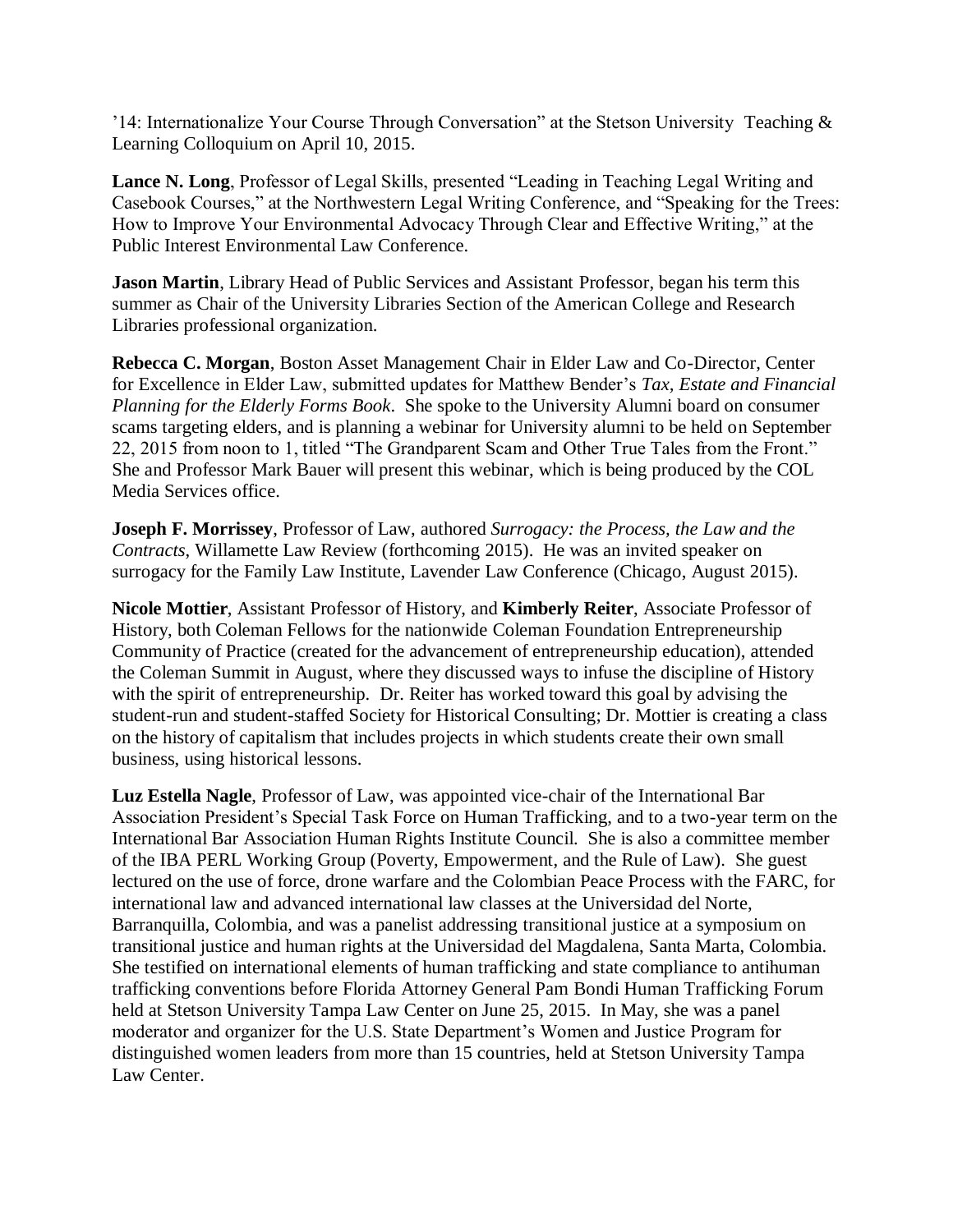'14: Internationalize Your Course Through Conversation" at the Stetson University Teaching & Learning Colloquium on April 10, 2015.

**Lance N. Long**, Professor of Legal Skills, presented "Leading in Teaching Legal Writing and Casebook Courses," at the Northwestern Legal Writing Conference, and "Speaking for the Trees: How to Improve Your Environmental Advocacy Through Clear and Effective Writing," at the Public Interest Environmental Law Conference.

**Jason Martin**, Library Head of Public Services and Assistant Professor, began his term this summer as Chair of the University Libraries Section of the American College and Research Libraries professional organization.

**Rebecca C. Morgan**, Boston Asset Management Chair in Elder Law and Co-Director, Center for Excellence in Elder Law, submitted updates for Matthew Bender's *Tax, Estate and Financial Planning for the Elderly Forms Book*. She spoke to the University Alumni board on consumer scams targeting elders, and is planning a webinar for University alumni to be held on September 22, 2015 from noon to 1, titled "The Grandparent Scam and Other True Tales from the Front." She and Professor Mark Bauer will present this webinar, which is being produced by the COL Media Services office.

**Joseph F. Morrissey**, Professor of Law, authored *Surrogacy: the Process, the Law and the Contracts*, Willamette Law Review (forthcoming 2015). He was an invited speaker on surrogacy for the Family Law Institute, Lavender Law Conference (Chicago, August 2015).

**Nicole Mottier**, Assistant Professor of History, and **Kimberly Reiter**, Associate Professor of History, both Coleman Fellows for the nationwide Coleman Foundation Entrepreneurship Community of Practice (created for the advancement of entrepreneurship education), attended the Coleman Summit in August, where they discussed ways to infuse the discipline of History with the spirit of entrepreneurship. Dr. Reiter has worked toward this goal by advising the student-run and student-staffed Society for Historical Consulting; Dr. Mottier is creating a class on the history of capitalism that includes projects in which students create their own small business, using historical lessons.

**Luz Estella Nagle**, Professor of Law, was appointed vice-chair of the International Bar Association President's Special Task Force on Human Trafficking, and to a two-year term on the International Bar Association Human Rights Institute Council. She is also a committee member of the IBA PERL Working Group (Poverty, Empowerment, and the Rule of Law). She guest lectured on the use of force, drone warfare and the Colombian Peace Process with the FARC, for international law and advanced international law classes at the Universidad del Norte, Barranquilla, Colombia, and was a panelist addressing transitional justice at a symposium on transitional justice and human rights at the Universidad del Magdalena, Santa Marta, Colombia. She testified on international elements of human trafficking and state compliance to antihuman trafficking conventions before Florida Attorney General Pam Bondi Human Trafficking Forum held at Stetson University Tampa Law Center on June 25, 2015. In May, she was a panel moderator and organizer for the U.S. State Department's Women and Justice Program for distinguished women leaders from more than 15 countries, held at Stetson University Tampa Law Center.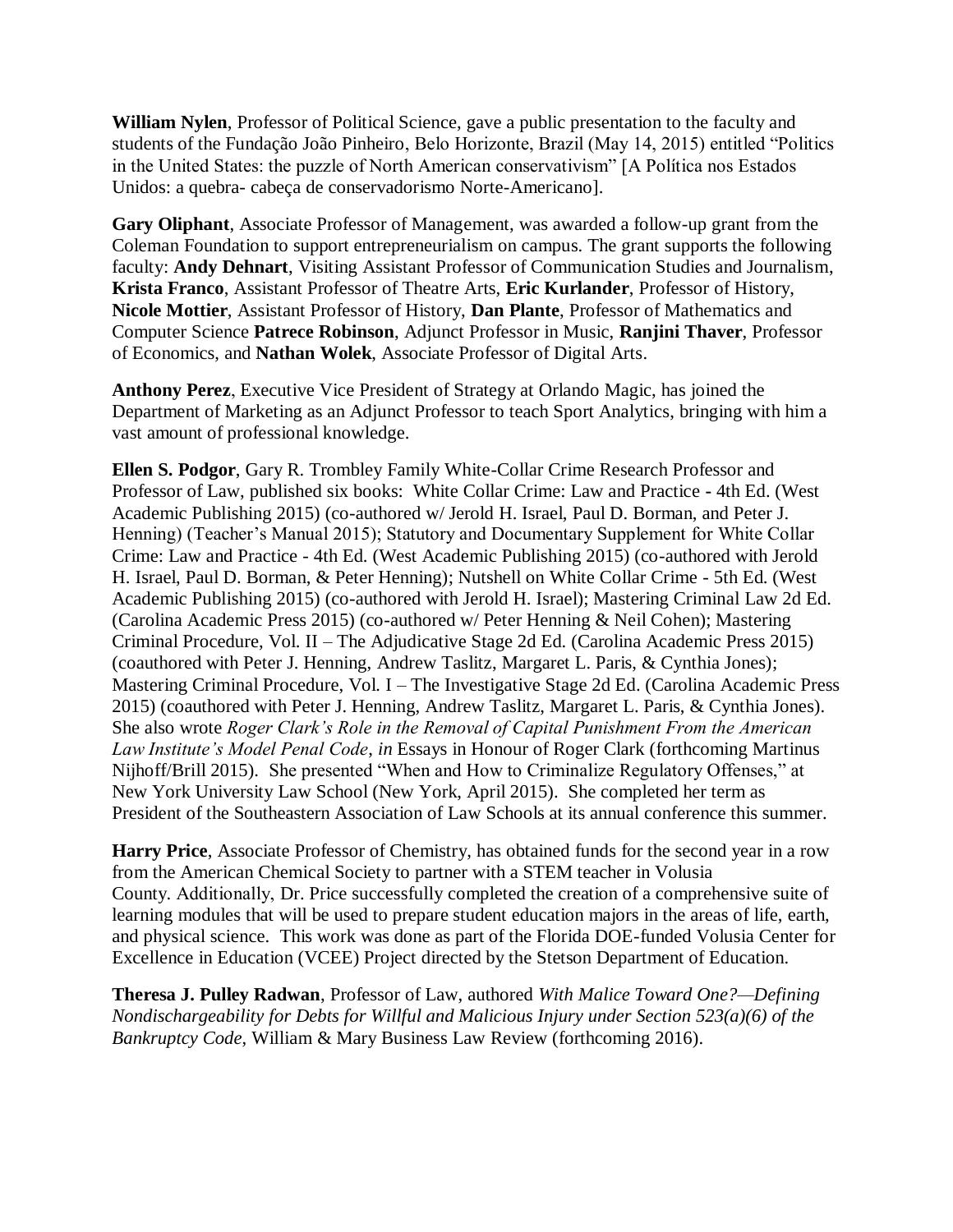**William Nylen**, Professor of Political Science, gave a public presentation to the faculty and students of the Fundação João Pinheiro, Belo Horizonte, Brazil (May 14, 2015) entitled "Politics in the United States: the puzzle of North American conservativism" [A Política nos Estados Unidos: a quebra- cabeça de conservadorismo Norte-Americano].

**Gary Oliphant**, Associate Professor of Management, was awarded a follow-up grant from the Coleman Foundation to support entrepreneurialism on campus. The grant supports the following faculty: **Andy Dehnart**, Visiting Assistant Professor of Communication Studies and Journalism, **Krista Franco**, Assistant Professor of Theatre Arts, **Eric Kurlander**, Professor of History, **Nicole Mottier**, Assistant Professor of History, **Dan Plante**, Professor of Mathematics and Computer Science **Patrece Robinson**, Adjunct Professor in Music, **Ranjini Thaver**, Professor of Economics, and **Nathan Wolek**, Associate Professor of Digital Arts.

**Anthony Perez**, Executive Vice President of Strategy at Orlando Magic, has joined the Department of Marketing as an Adjunct Professor to teach Sport Analytics, bringing with him a vast amount of professional knowledge.

**Ellen S. Podgor**, Gary R. Trombley Family White-Collar Crime Research Professor and Professor of Law, published six books: White Collar Crime: Law and Practice **-** 4th Ed. (West Academic Publishing 2015) (co-authored w/ Jerold H. Israel, Paul D. Borman, and Peter J. Henning) (Teacher's Manual 2015); Statutory and Documentary Supplement for White Collar Crime: Law and Practice - 4th Ed. (West Academic Publishing 2015) (co-authored with Jerold H. Israel, Paul D. Borman, & Peter Henning); Nutshell on White Collar Crime - 5th Ed. (West Academic Publishing 2015) (co-authored with Jerold H. Israel); Mastering Criminal Law 2d Ed. (Carolina Academic Press 2015) (co-authored w/ Peter Henning & Neil Cohen); Mastering Criminal Procedure, Vol. II – The Adjudicative Stage 2d Ed. (Carolina Academic Press 2015) (coauthored with Peter J. Henning, Andrew Taslitz, Margaret L. Paris, & Cynthia Jones); Mastering Criminal Procedure, Vol. I – The Investigative Stage 2d Ed. (Carolina Academic Press 2015) (coauthored with Peter J. Henning, Andrew Taslitz, Margaret L. Paris, & Cynthia Jones). She also wrote *Roger Clark's Role in the Removal of Capital Punishment From the American Law Institute's Model Penal Code*, *in* Essays in Honour of Roger Clark (forthcoming Martinus Nijhoff/Brill 2015).She presented "When and How to Criminalize Regulatory Offenses," at New York University Law School (New York, April 2015). She completed her term as President of the Southeastern Association of Law Schools at its annual conference this summer.

**Harry Price**, Associate Professor of Chemistry, has obtained funds for the second year in a row from the American Chemical Society to partner with a STEM teacher in Volusia County. Additionally, Dr. Price successfully completed the creation of a comprehensive suite of learning modules that will be used to prepare student education majors in the areas of life, earth, and physical science. This work was done as part of the Florida DOE-funded Volusia Center for Excellence in Education (VCEE) Project directed by the Stetson Department of Education.

**Theresa J. Pulley Radwan**, Professor of Law, authored *With Malice Toward One?—Defining Nondischargeability for Debts for Willful and Malicious Injury under Section 523(a)(6) of the Bankruptcy Code*, William & Mary Business Law Review (forthcoming 2016).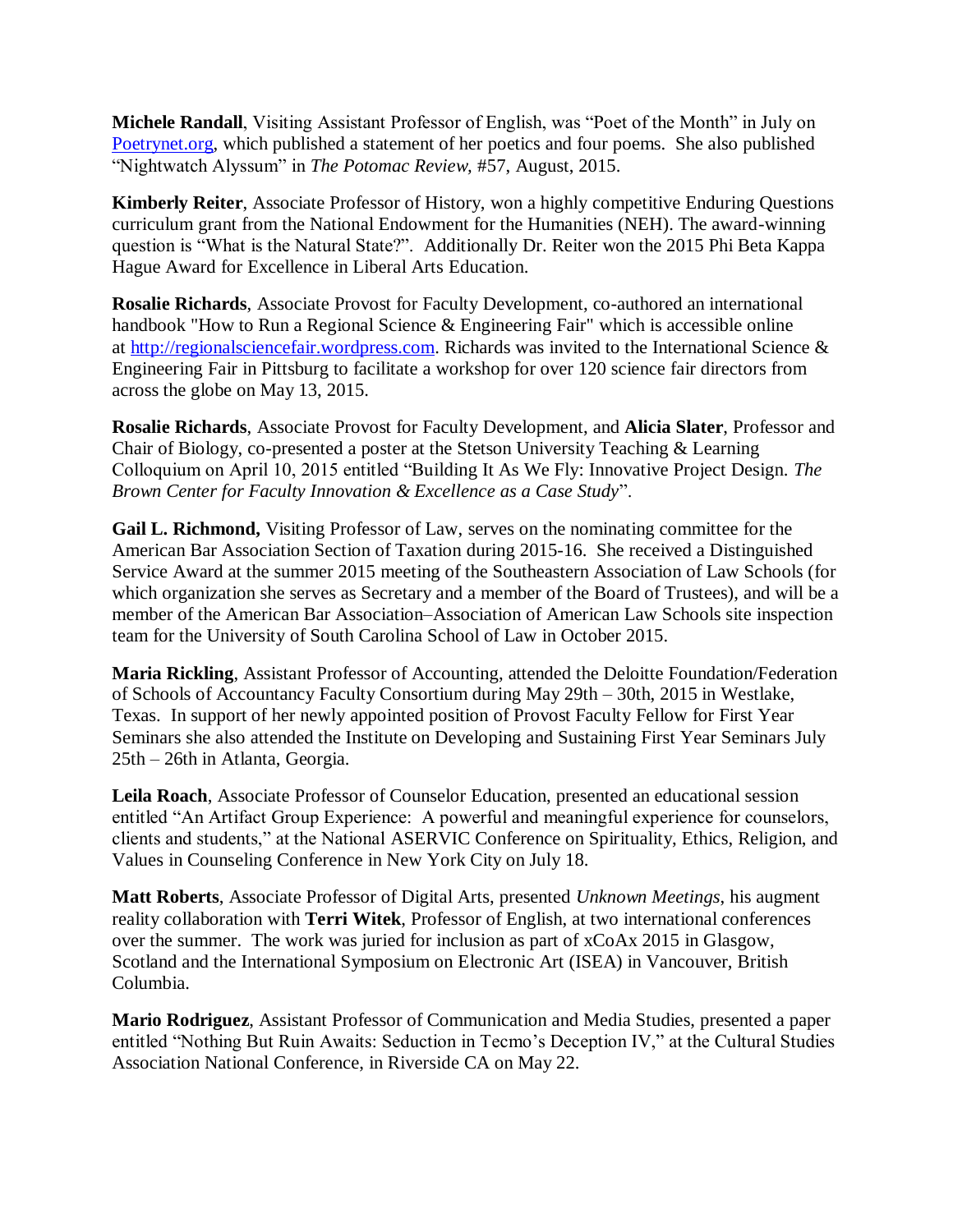**Michele Randall**, Visiting Assistant Professor of English, was "Poet of the Month" in July on [Poetrynet.org,](http://poetrynet.org/) which published a statement of her poetics and four poems. She also published "Nightwatch Alyssum" in *The Potomac Review,* #57, August, 2015.

**Kimberly Reiter**, Associate Professor of History, won a highly competitive Enduring Questions curriculum grant from the National Endowment for the Humanities (NEH). The award-winning question is "What is the Natural State?". Additionally Dr. Reiter won the 2015 Phi Beta Kappa Hague Award for Excellence in Liberal Arts Education.

**Rosalie Richards**, Associate Provost for Faculty Development, co-authored an international handbook "How to Run a Regional Science & Engineering Fair" which is accessible online at [http://regionalsciencefair.wordpress.com.](http://regionalsciencefair.wordpress.com/) Richards was invited to the International Science & Engineering Fair in Pittsburg to facilitate a workshop for over 120 science fair directors from across the globe on May 13, 2015.

**Rosalie Richards**, Associate Provost for Faculty Development, and **Alicia Slater**, Professor and Chair of Biology, co-presented a poster at the Stetson University Teaching & Learning Colloquium on April 10, 2015 entitled "Building It As We Fly: Innovative Project Design. *The Brown Center for Faculty Innovation & Excellence as a Case Study*".

**Gail L. Richmond,** Visiting Professor of Law, serves on the nominating committee for the American Bar Association Section of Taxation during 2015-16. She received a Distinguished Service Award at the summer 2015 meeting of the Southeastern Association of Law Schools (for which organization she serves as Secretary and a member of the Board of Trustees), and will be a member of the American Bar Association–Association of American Law Schools site inspection team for the University of South Carolina School of Law in October 2015.

**Maria Rickling**, Assistant Professor of Accounting, attended the Deloitte Foundation/Federation of Schools of Accountancy Faculty Consortium during May 29th – 30th, 2015 in Westlake, Texas. In support of her newly appointed position of Provost Faculty Fellow for First Year Seminars she also attended the Institute on Developing and Sustaining First Year Seminars July 25th – 26th in Atlanta, Georgia.

**Leila Roach**, Associate Professor of Counselor Education, presented an educational session entitled "An Artifact Group Experience: A powerful and meaningful experience for counselors, clients and students," at the National ASERVIC Conference on Spirituality, Ethics, Religion, and Values in Counseling Conference in New York City on July 18.

**Matt Roberts**, Associate Professor of Digital Arts, presented *Unknown Meetings*, his augment reality collaboration with **Terri Witek**, Professor of English, at two international conferences over the summer. The work was juried for inclusion as part of xCoAx 2015 in Glasgow, Scotland and the International Symposium on Electronic Art (ISEA) in Vancouver, British Columbia.

**Mario Rodriguez**, Assistant Professor of Communication and Media Studies, presented a paper entitled "Nothing But Ruin Awaits: Seduction in Tecmo's Deception IV," at the Cultural Studies Association National Conference, in Riverside CA on May 22.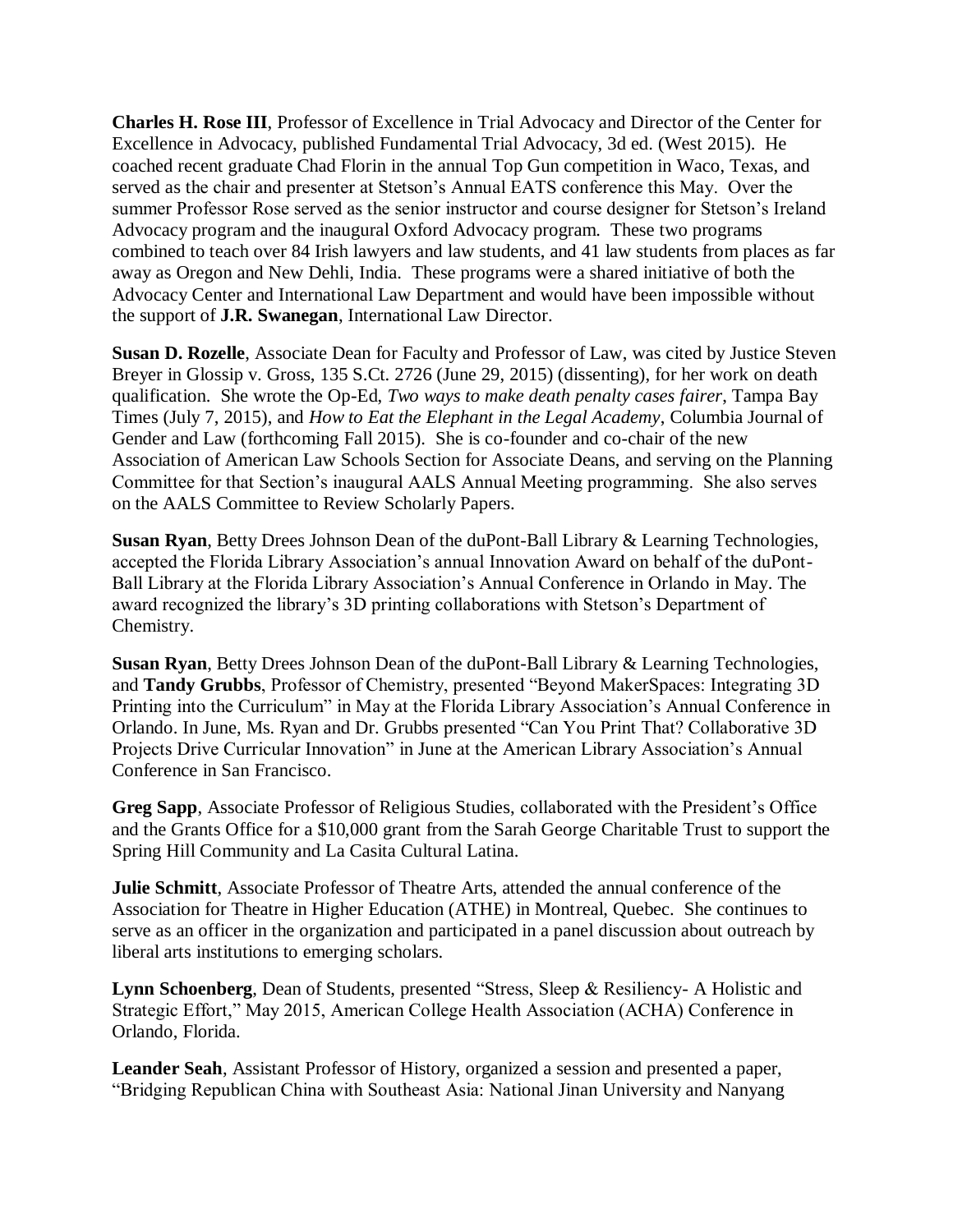**Charles H. Rose III**, Professor of Excellence in Trial Advocacy and Director of the Center for Excellence in Advocacy, published Fundamental Trial Advocacy, 3d ed. (West 2015). He coached recent graduate Chad Florin in the annual Top Gun competition in Waco, Texas, and served as the chair and presenter at Stetson's Annual EATS conference this May. Over the summer Professor Rose served as the senior instructor and course designer for Stetson's Ireland Advocacy program and the inaugural Oxford Advocacy program. These two programs combined to teach over 84 Irish lawyers and law students, and 41 law students from places as far away as Oregon and New Dehli, India. These programs were a shared initiative of both the Advocacy Center and International Law Department and would have been impossible without the support of **J.R. Swanegan**, International Law Director.

**Susan D. Rozelle**, Associate Dean for Faculty and Professor of Law, was cited by Justice Steven Breyer in Glossip v. Gross, 135 S.Ct. 2726 (June 29, 2015) (dissenting), for her work on death qualification. She wrote the Op-Ed, *Two ways to make death penalty cases fairer*, Tampa Bay Times (July 7, 2015), and *How to Eat the Elephant in the Legal Academy*, Columbia Journal of Gender and Law (forthcoming Fall 2015). She is co-founder and co-chair of the new Association of American Law Schools Section for Associate Deans, and serving on the Planning Committee for that Section's inaugural AALS Annual Meeting programming. She also serves on the AALS Committee to Review Scholarly Papers.

**Susan Ryan**, Betty Drees Johnson Dean of the duPont-Ball Library & Learning Technologies, accepted the Florida Library Association's annual Innovation Award on behalf of the duPont-Ball Library at the Florida Library Association's Annual Conference in Orlando in May. The award recognized the library's 3D printing collaborations with Stetson's Department of Chemistry.

**Susan Ryan**, Betty Drees Johnson Dean of the duPont-Ball Library & Learning Technologies, and **Tandy Grubbs**, Professor of Chemistry, presented "Beyond MakerSpaces: Integrating 3D Printing into the Curriculum" in May at the Florida Library Association's Annual Conference in Orlando. In June, Ms. Ryan and Dr. Grubbs presented "Can You Print That? Collaborative 3D Projects Drive Curricular Innovation" in June at the American Library Association's Annual Conference in San Francisco.

**Greg Sapp**, Associate Professor of Religious Studies, collaborated with the President's Office and the Grants Office for a \$10,000 grant from the Sarah George Charitable Trust to support the Spring Hill Community and La Casita Cultural Latina.

**Julie Schmitt**, Associate Professor of Theatre Arts, attended the annual conference of the Association for Theatre in Higher Education (ATHE) in Montreal, Quebec. She continues to serve as an officer in the organization and participated in a panel discussion about outreach by liberal arts institutions to emerging scholars.

**Lynn Schoenberg**, Dean of Students, presented "Stress, Sleep & Resiliency- A Holistic and Strategic Effort," May 2015, American College Health Association (ACHA) Conference in Orlando, Florida.

**Leander Seah**, Assistant Professor of History, organized a session and presented a paper, "Bridging Republican China with Southeast Asia: National Jinan University and Nanyang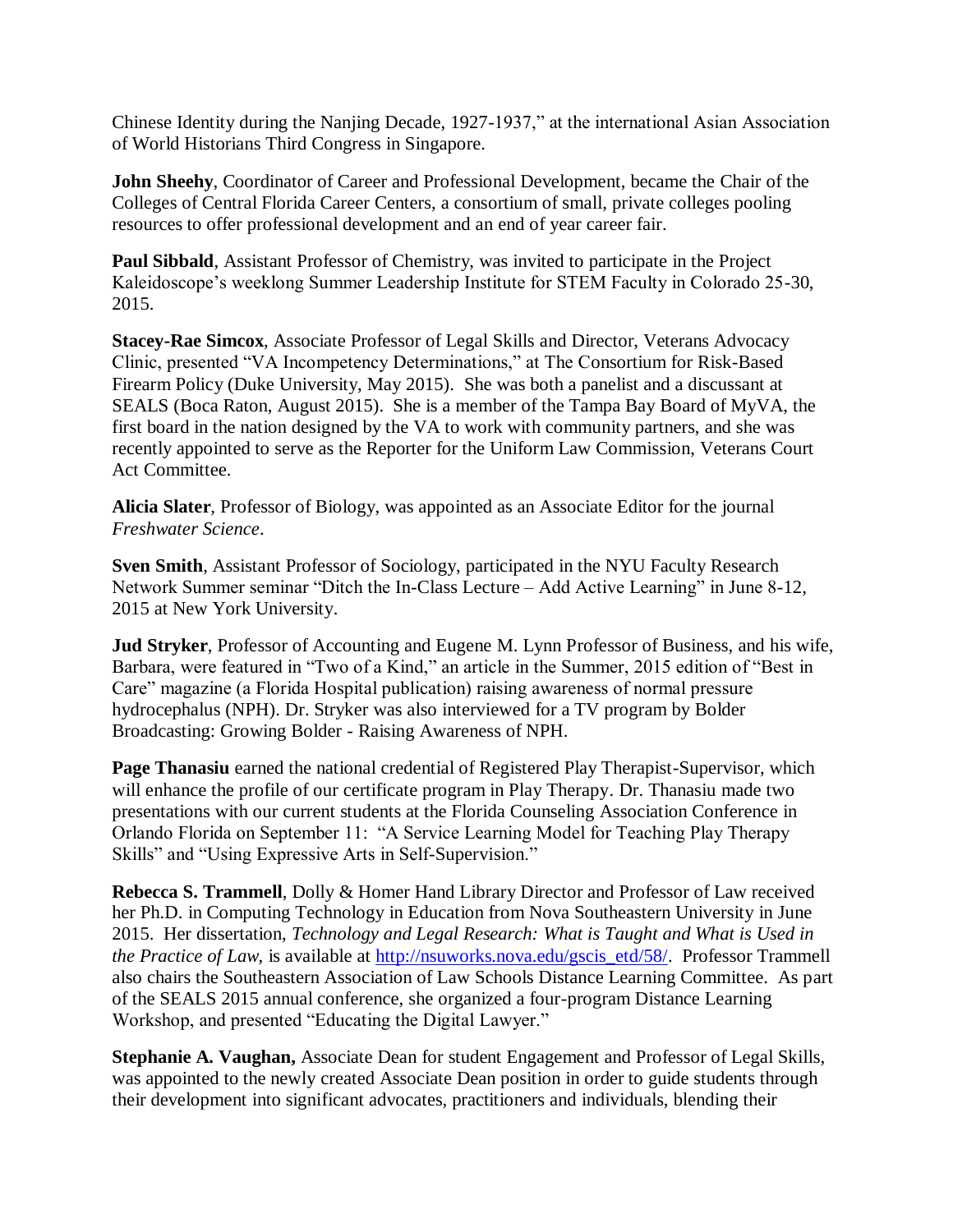Chinese Identity during the Nanjing Decade, 1927-1937," at the international Asian Association of World Historians Third Congress in Singapore.

**John Sheehy**, Coordinator of Career and Professional Development, became the Chair of the Colleges of Central Florida Career Centers, a consortium of small, private colleges pooling resources to offer professional development and an end of year career fair.

**Paul Sibbald**, Assistant Professor of Chemistry, was invited to participate in the Project Kaleidoscope's weeklong Summer Leadership Institute for STEM Faculty in Colorado 25-30, 2015.

**Stacey-Rae Simcox**, Associate Professor of Legal Skills and Director, Veterans Advocacy Clinic, presented "VA Incompetency Determinations," at The Consortium for Risk-Based Firearm Policy (Duke University, May 2015). She was both a panelist and a discussant at SEALS (Boca Raton, August 2015). She is a member of the Tampa Bay Board of MyVA, the first board in the nation designed by the VA to work with community partners, and she was recently appointed to serve as the Reporter for the Uniform Law Commission, Veterans Court Act Committee.

**Alicia Slater**, Professor of Biology, was appointed as an Associate Editor for the journal *Freshwater Science*.

**Sven Smith**, Assistant Professor of Sociology, participated in the NYU Faculty Research Network Summer seminar "Ditch the In-Class Lecture – Add Active Learning" in June 8-12, 2015 at New York University.

**Jud Stryker**, Professor of Accounting and Eugene M. Lynn Professor of Business, and his wife, Barbara, were featured in "Two of a Kind," an article in the Summer, 2015 edition of "Best in Care" magazine (a Florida Hospital publication) raising awareness of normal pressure hydrocephalus (NPH). Dr. Stryker was also interviewed for a TV program by Bolder Broadcasting: Growing Bolder - Raising Awareness of NPH.

**Page Thanasiu** earned the national credential of Registered Play Therapist-Supervisor, which will enhance the profile of our certificate program in Play Therapy. Dr. Thanasiu made two presentations with our current students at the Florida Counseling Association Conference in Orlando Florida on September 11: "A Service Learning Model for Teaching Play Therapy Skills" and "Using Expressive Arts in Self-Supervision."

**Rebecca S. Trammell**, Dolly & Homer Hand Library Director and Professor of Law received her Ph.D. in Computing Technology in Education from Nova Southeastern University in June 2015. Her dissertation, *Technology and Legal Research: What is Taught and What is Used in the Practice of Law*, is available at [http://nsuworks.nova.edu/gscis\\_etd/58/.](http://nsuworks.nova.edu/gscis_etd/58/) Professor Trammell also chairs the Southeastern Association of Law Schools Distance Learning Committee. As part of the SEALS 2015 annual conference, she organized a four-program Distance Learning Workshop, and presented "Educating the Digital Lawyer."

**Stephanie A. Vaughan,** Associate Dean for student Engagement and Professor of Legal Skills, was appointed to the newly created Associate Dean position in order to guide students through their development into significant advocates, practitioners and individuals, blending their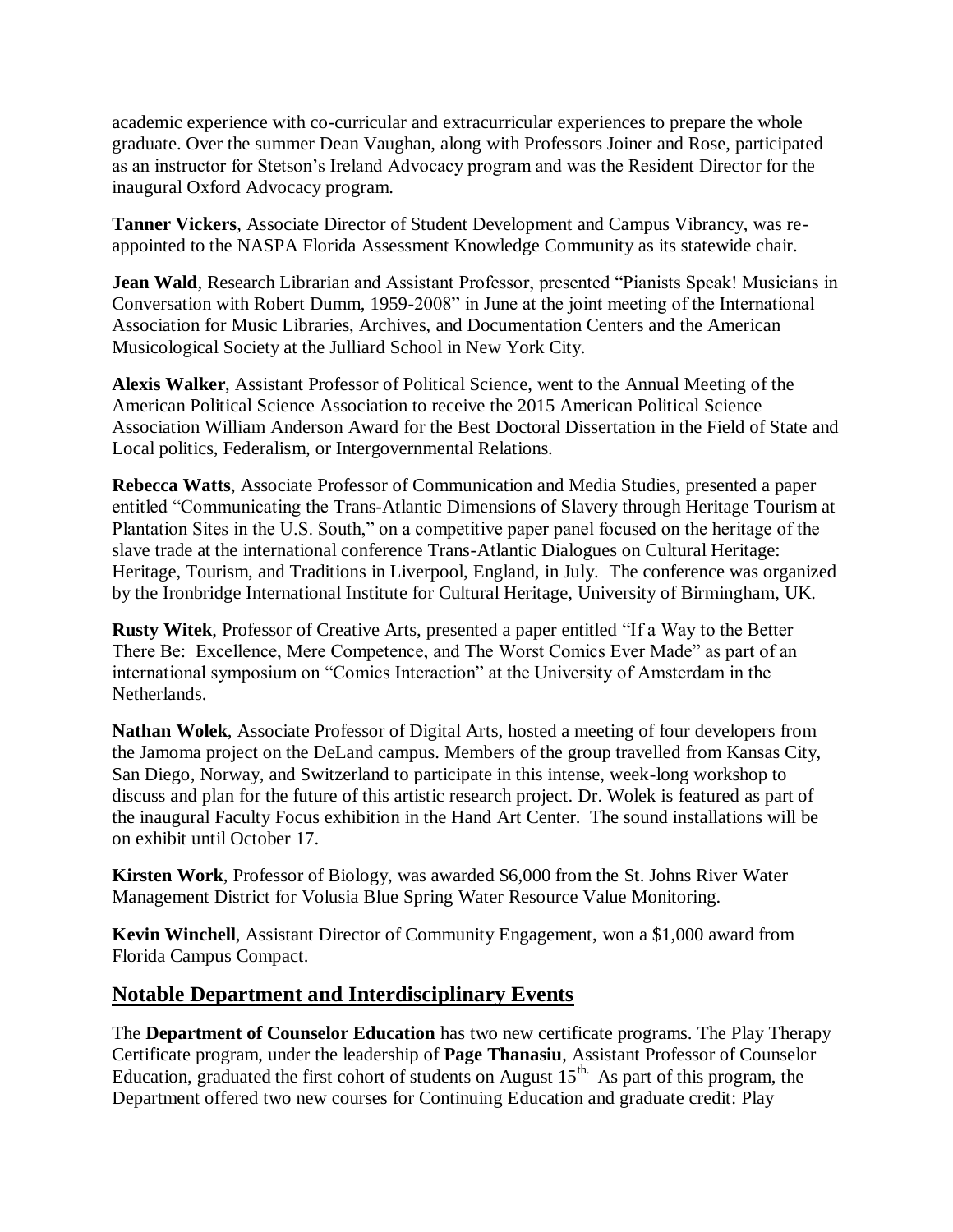academic experience with co-curricular and extracurricular experiences to prepare the whole graduate. Over the summer Dean Vaughan, along with Professors Joiner and Rose, participated as an instructor for Stetson's Ireland Advocacy program and was the Resident Director for the inaugural Oxford Advocacy program.

**Tanner Vickers**, Associate Director of Student Development and Campus Vibrancy, was reappointed to the NASPA Florida Assessment Knowledge Community as its statewide chair.

**Jean Wald**, Research Librarian and Assistant Professor, presented "Pianists Speak! Musicians in Conversation with Robert Dumm, 1959-2008" in June at the joint meeting of the International Association for Music Libraries, Archives, and Documentation Centers and the American Musicological Society at the Julliard School in New York City.

**Alexis Walker**, Assistant Professor of Political Science, went to the Annual Meeting of the American Political Science Association to receive the 2015 American Political Science Association William Anderson Award for the Best Doctoral Dissertation in the Field of State and Local politics, Federalism, or Intergovernmental Relations.

**Rebecca Watts**, Associate Professor of Communication and Media Studies, presented a paper entitled "Communicating the Trans-Atlantic Dimensions of Slavery through Heritage Tourism at Plantation Sites in the U.S. South," on a competitive paper panel focused on the heritage of the slave trade at the international conference Trans-Atlantic Dialogues on Cultural Heritage: Heritage, Tourism, and Traditions in Liverpool, England, in July. The conference was organized by the Ironbridge International Institute for Cultural Heritage, University of Birmingham, UK.

**Rusty Witek**, Professor of Creative Arts, presented a paper entitled "If a Way to the Better There Be: Excellence, Mere Competence, and The Worst Comics Ever Made" as part of an international symposium on "Comics Interaction" at the University of Amsterdam in the Netherlands.

**Nathan Wolek**, Associate Professor of Digital Arts, hosted a meeting of four developers from the Jamoma project on the DeLand campus. Members of the group travelled from Kansas City, San Diego, Norway, and Switzerland to participate in this intense, week-long workshop to discuss and plan for the future of this artistic research project. Dr. Wolek is featured as part of the inaugural Faculty Focus exhibition in the Hand Art Center. The sound installations will be on exhibit until October 17.

**Kirsten Work**, Professor of Biology, was awarded \$6,000 from the St. Johns River Water Management District for Volusia Blue Spring Water Resource Value Monitoring.

**Kevin Winchell**, Assistant Director of Community Engagement, won a \$1,000 award from Florida Campus Compact.

## **Notable Department and Interdisciplinary Events**

The **Department of Counselor Education** has two new certificate programs. The Play Therapy Certificate program, under the leadership of **Page Thanasiu**, Assistant Professor of Counselor Education, graduated the first cohort of students on August  $15<sup>th</sup>$ . As part of this program, the Department offered two new courses for Continuing Education and graduate credit: Play